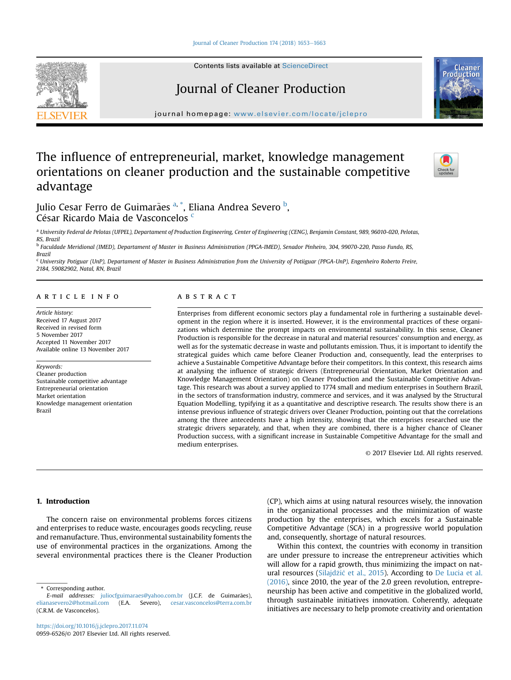[Journal of Cleaner Production 174 \(2018\) 1653](https://doi.org/10.1016/j.jclepro.2017.11.074)-[1663](https://doi.org/10.1016/j.jclepro.2017.11.074)



Contents lists available at ScienceDirect

# Journal of Cleaner Production

journal homepage: [www.elsevier.com/locate/jclepro](http://www.elsevier.com/locate/jclepro)

# The influence of entrepreneurial, market, knowledge management orientations on cleaner production and the sustainable competitive advantage



Julio Cesar Ferro de Guimarães <sup>a, \*</sup>, Eliana Andrea Severo <sup>b</sup>, César Ricardo Maia de Vasconcelos <sup>c</sup>

<sup>a</sup> University Federal de Pelotas (UFPEL), Departament of Production Engineering, Center of Engineering (CENG), Benjamin Constant, 989, 96010-020, Pelotas, RS, Brazil

<sup>b</sup> Faculdade Meridional (IMED), Departament of Master in Business Administration (PPGA-IMED), Senador Pinheiro, 304, 99070-220, Passo Fundo, RS, Brazil

<sup>c</sup> University Potiguar (UnP), Departament of Master in Business Administration from the University of Potiiguar (PPGA-UnP), Engenheiro Roberto Freire, 2184, 59082902, Natal, RN, Brazil

## article info

Article history: Received 17 August 2017 Received in revised form 5 November 2017 Accepted 11 November 2017 Available online 13 November 2017

Keywords: Cleaner production Sustainable competitive advantage Entrepreneurial orientation Market orientation Knowledge management orientation Brazil

# **ABSTRACT**

Enterprises from different economic sectors play a fundamental role in furthering a sustainable development in the region where it is inserted. However, it is the environmental practices of these organizations which determine the prompt impacts on environmental sustainability. In this sense, Cleaner Production is responsible for the decrease in natural and material resources' consumption and energy, as well as for the systematic decrease in waste and pollutants emission. Thus, it is important to identify the strategical guides which came before Cleaner Production and, consequently, lead the enterprises to achieve a Sustainable Competitive Advantage before their competitors. In this context, this research aims at analysing the influence of strategic drivers (Entrepreneurial Orientation, Market Orientation and Knowledge Management Orientation) on Cleaner Production and the Sustainable Competitive Advantage. This research was about a survey applied to 1774 small and medium enterprises in Southern Brazil, in the sectors of transformation industry, commerce and services, and it was analysed by the Structural Equation Modelling, typifying it as a quantitative and descriptive research. The results show there is an intense previous influence of strategic drivers over Cleaner Production, pointing out that the correlations among the three antecedents have a high intensity, showing that the enterprises researched use the strategic drivers separately, and that, when they are combined, there is a higher chance of Cleaner Production success, with a significant increase in Sustainable Competitive Advantage for the small and medium enterprises.

© 2017 Elsevier Ltd. All rights reserved.

# 1. Introduction

The concern raise on environmental problems forces citizens and enterprises to reduce waste, encourages goods recycling, reuse and remanufacture. Thus, environmental sustainability foments the use of environmental practices in the organizations. Among the several environmental practices there is the Cleaner Production (CP), which aims at using natural resources wisely, the innovation in the organizational processes and the minimization of waste production by the enterprises, which excels for a Sustainable Competitive Advantage (SCA) in a progressive world population and, consequently, shortage of natural resources.

Within this context, the countries with economy in transition are under pressure to increase the entrepreneur activities which will allow for a rapid growth, thus minimizing the impact on nat-ural resources ([Silajd](#page-10-0)žić et al., 2015). According to [De Lucia et al.](#page-9-0) [\(2016\),](#page-9-0) since 2010, the year of the 2.0 green revolution, entrepreneurship has been active and competitive in the globalized world, through sustainable initiatives innovation. Coherently, adequate initiatives are necessary to help promote creativity and orientation

Corresponding author.

E-mail addresses: [juliocfguimaraes@yahoo.com.br](mailto:juliocfguimaraes@yahoo.com.br) (J.C.F. de Guimarães), [elianasevero2@hotmail.com](mailto:elianasevero2@hotmail.com) (E.A. Severo), [cesar.vasconcelos@terra.com.br](mailto:cesar.vasconcelos@terra.com.br) (C.R.M. de Vasconcelos).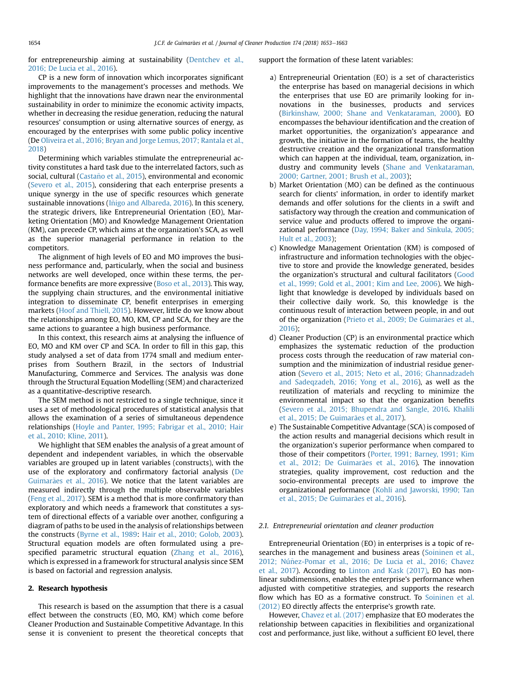for entrepreneurship aiming at sustainability ([Dentchev et al.,](#page-9-0) [2016; De Lucia et al., 2016\)](#page-9-0).

CP is a new form of innovation which incorporates significant improvements to the management's processes and methods. We highlight that the innovations have drawn near the environmental sustainability in order to minimize the economic activity impacts, whether in decreasing the residue generation, reducing the natural resources' consumption or using alternative sources of energy, as encouraged by the enterprises with some public policy incentive (De [Oliveira et al., 2016; Bryan and Jorge Lemus, 2017; Rantala et al.,](#page-10-0) [2018\)](#page-10-0)

Determining which variables stimulate the entrepreneurial activity constitutes a hard task due to the interrelated factors, such as social, cultural (Castaño et al., 2015), environmental and economic ([Severo et al., 2015](#page-10-0)), considering that each enterprise presents a unique synergy in the use of specific resources which generate sustainable innovations (Iñigo and Albareda, 2016). In this scenery, the strategic drivers, like Entrepreneurial Orientation (EO), Marketing Orientation (MO) and Knowledge Management Orientation (KM), can precede CP, which aims at the organization's SCA, as well as the superior managerial performance in relation to the competitors.

The alignment of high levels of EO and MO improves the business performance and, particularly, when the social and business networks are well developed, once within these terms, the performance benefits are more expressive ([Boso et al., 2013](#page-9-0)). This way, the supplying chain structures, and the environmental initiative integration to disseminate CP, benefit enterprises in emerging markets ([Hoof and Thiell, 2015\)](#page-9-0). However, little do we know about the relationships among EO, MO, KM, CP and SCA, for they are the same actions to guarantee a high business performance.

In this context, this research aims at analysing the influence of EO, MO and KM over CP and SCA. In order to fill in this gap, this study analysed a set of data from 1774 small and medium enterprises from Southern Brazil, in the sectors of Industrial Manufacturing, Commerce and Services. The analysis was done through the Structural Equation Modelling (SEM) and characterized as a quantitative-descriptive research.

The SEM method is not restricted to a single technique, since it uses a set of methodological procedures of statistical analysis that allows the examination of a series of simultaneous dependence relationships [\(Hoyle and Panter, 1995; Fabrigar et al., 2010; Hair](#page-9-0) [et al., 2010; Kline, 2011\)](#page-9-0).

We highlight that SEM enables the analysis of a great amount of dependent and independent variables, in which the observable variables are grouped up in latent variables (constructs), with the use of the exploratory and confirmatory factorial analysis ([De](#page-9-0) [Guimar](#page-9-0)ães et al., 2016). We notice that the latent variables are measured indirectly through the multiple observable variables ([Feng et al., 2017\)](#page-9-0). SEM is a method that is more confirmatory than exploratory and which needs a framework that constitutes a system of directional effects of a variable over another, configuring a diagram of paths to be used in the analysis of relationships between the constructs [\(Byrne et al., 1989:](#page-9-0) [Hair et al., 2010; Golob, 2003\)](#page-9-0). Structural equation models are often formulated using a prespecified parametric structural equation ([Zhang et al., 2016\)](#page-10-0), which is expressed in a framework for structural analysis since SEM is based on factorial and regression analysis.

### 2. Research hypothesis

This research is based on the assumption that there is a casual effect between the constructs (EO, MO, KM) which come before Cleaner Production and Sustainable Competitive Advantage. In this sense it is convenient to present the theoretical concepts that support the formation of these latent variables:

- a) Entrepreneurial Orientation (EO) is a set of characteristics the enterprise has based on managerial decisions in which the enterprises that use EO are primarily looking for innovations in the businesses, products and services ([Birkinshaw, 2000; Shane and Venkataraman, 2000\)](#page-9-0). EO encompasses the behaviour identification and the creation of market opportunities, the organization's appearance and growth, the initiative in the formation of teams, the healthy destructive creation and the organizational transformation which can happen at the individual, team, organization, industry and community levels ([Shane and Venkataraman,](#page-10-0) [2000; Gartner, 2001; Brush et al., 2003](#page-10-0));
- b) Market Orientation (MO) can be defined as the continuous search for clients' information, in order to identify market demands and offer solutions for the clients in a swift and satisfactory way through the creation and communication of service value and products offered to improve the organizational performance [\(Day, 1994; Baker and Sinkula, 2005;](#page-9-0) [Hult et al., 2003](#page-9-0));
- c) Knowledge Management Orientation (KM) is composed of infrastructure and information technologies with the objective to store and provide the knowledge generated, besides the organization's structural and cultural facilitators ([Good](#page-9-0) [et al., 1999; Gold et al., 2001; Kim and Lee, 2006](#page-9-0)). We highlight that knowledge is developed by individuals based on their collective daily work. So, this knowledge is the continuous result of interaction between people, in and out of the organization (Prieto et al., 2009; De Guimarães et al., [2016\)](#page-10-0);
- d) Cleaner Production (CP) is an environmental practice which emphasizes the systematic reduction of the production process costs through the reeducation of raw material consumption and the minimization of industrial residue generation [\(Severo et al., 2015; Neto et al., 2016; Ghannadzadeh](#page-10-0) [and Sadeqzadeh, 2016; Yong et al., 2016](#page-10-0)), as well as the reutilization of materials and recycling to minimize the environmental impact so that the organization benefits ([Severo et al., 2015; Bhupendra and Sangle, 2016.](#page-10-0) [Khalili](#page-9-0) [et al., 2015; De Guimar](#page-9-0)ães et al., 2017).
- e) The Sustainable Competitive Advantage (SCA) is composed of the action results and managerial decisions which result in the organization's superior performance when compared to those of their competitors [\(Porter, 1991; Barney, 1991; Kim](#page-10-0) et al., 2012; De Guimarães et al., 2016). The innovation strategies, quality improvement, cost reduction and the socio-environmental precepts are used to improve the organizational performance ([Kohli and Jaworski, 1990; Tan](#page-10-0) [et al., 2015; De Guimar](#page-10-0)ães et al., 2016).

#### 2.1. Entrepreneurial orientation and cleaner production

Entrepreneurial Orientation (EO) in enterprises is a topic of re-searches in the management and business areas [\(Soininen et al.,](#page-10-0) [2012; Núnez-Pomar et al., 2016; De Lucia et al., 2016; Chavez](#page-10-0) ~ [et al., 2017](#page-10-0)). According to [Linton and Kask \(2017\)](#page-10-0), EO has nonlinear subdimensions, enables the enterprise's performance when adjusted with competitive strategies, and supports the research flow which has EO as a formative construct. To [Soininen et al.](#page-10-0) [\(2012\)](#page-10-0) EO directly affects the enterprise's growth rate.

However, [Chavez et al. \(2017\)](#page-9-0) emphasize that EO moderates the relationship between capacities in flexibilities and organizational cost and performance, just like, without a sufficient EO level, there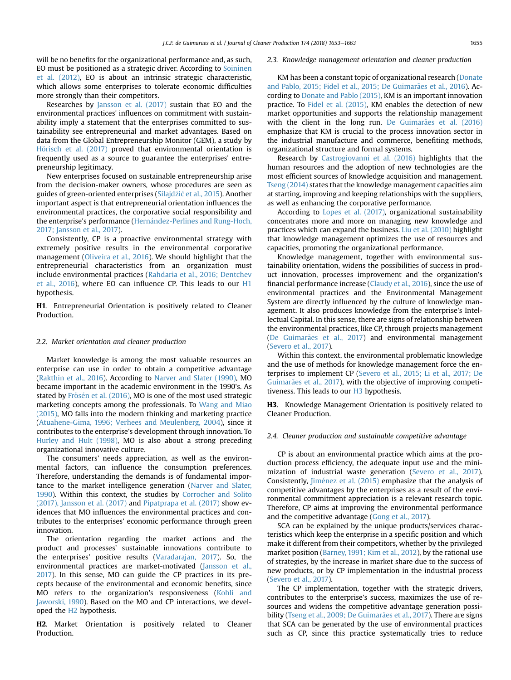will be no benefits for the organizational performance and, as such, EO must be positioned as a strategic driver. According to [Soininen](#page-10-0) [et al. \(2012\),](#page-10-0) EO is about an intrinsic strategic characteristic, which allows some enterprises to tolerate economic difficulties more strongly than their competitors.

Researches by [Jansson et al. \(2017\)](#page-9-0) sustain that EO and the environmental practices' influences on commitment with sustainability imply a statement that the enterprises committed to sustainability see entrepreneurial and market advantages. Based on data from the Global Entrepreneurship Monitor (GEM), a study by Hörisch et al. (2017) proved that environmental orientation is frequently used as a source to guarantee the enterprises' entrepreneurship legitimacy.

New enterprises focused on sustainable entrepreneurship arise from the decision-maker owners, whose procedures are seen as guides of green-oriented enterprises ([Silajd](#page-10-0)žić [et al., 2015](#page-10-0)). Another important aspect is that entrepreneurial orientation influences the environmental practices, the corporative social responsibility and the enterprise's performance (Hernández-Perlines and Rung-Hoch, [2017; Jansson et al., 2017\)](#page-9-0).

Consistently, CP is a proactive environmental strategy with extremely positive results in the environmental corporative management ([Oliveira et al., 2016](#page-10-0)). We should highlight that the entrepreneurial characteristics from an organization must include environmental practices ([Rahdaria et al., 2016; Dentchev](#page-10-0) [et al., 2016](#page-10-0)), where EO can influence CP. This leads to our H1 hypothesis.

H1. Entrepreneurial Orientation is positively related to Cleaner Production.

#### 2.2. Market orientation and cleaner production

Market knowledge is among the most valuable resources an enterprise can use in order to obtain a competitive advantage ([Rakthin et al., 2016](#page-10-0)). According to [Narver and Slater \(1990\)](#page-10-0), MO became important in the academic environment in the 1990's. As stated by Frösén et al. (2016), MO is one of the most used strategic marketing concepts among the professionals. To [Wang and Miao](#page-10-0) [\(2015\),](#page-10-0) MO falls into the modern thinking and marketing practice ([Atuahene-Gima, 1996; Verhees and Meulenberg, 2004\)](#page-9-0), since it contributes to the enterprise's development through innovation. To [Hurley and Hult \(1998\),](#page-9-0) MO is also about a strong preceding organizational innovative culture.

The consumers' needs appreciation, as well as the environmental factors, can influence the consumption preferences. Therefore, understanding the demands is of fundamental importance to the market intelligence generation [\(Narver and Slater,](#page-10-0) [1990\)](#page-10-0). Within this context, the studies by [Corrocher and Solito](#page-9-0) [\(2017\), Jansson et al. \(2017\)](#page-9-0) and [Pipatprapa et al. \(2017\)](#page-10-0) show evidences that MO influences the environmental practices and contributes to the enterprises' economic performance through green innovation.

The orientation regarding the market actions and the product and processes' sustainable innovations contribute to the enterprises' positive results ([Varadarajan, 2017](#page-10-0)). So, the environmental practices are market-motivated [\(Jansson et al.,](#page-9-0) [2017](#page-9-0)). In this sense, MO can guide the CP practices in its precepts because of the environmental and economic benefits, since MO refers to the organization's responsiveness ([Kohli and](#page-10-0) [Jaworski, 1990\)](#page-10-0). Based on the MO and CP interactions, we developed the H2 hypothesis.

H2. Market Orientation is positively related to Cleaner Production.

#### 2.3. Knowledge management orientation and cleaner production

KM has been a constant topic of organizational research ([Donate](#page-9-0) [and Pablo, 2015; Fidel et al., 2015; De Guimar](#page-9-0)ães et al., 2016). According to [Donate and Pablo \(2015\),](#page-9-0) KM is an important innovation practice. To [Fidel et al. \(2015\)](#page-9-0), KM enables the detection of new market opportunities and supports the relationship management with the client in the long run. De Guimarães et al. (2016) emphasize that KM is crucial to the process innovation sector in the industrial manufacture and commerce, benefiting methods, organizational structure and formal systems.

Research by [Castrogiovanni et al. \(2016\)](#page-9-0) highlights that the human resources and the adoption of new technologies are the most efficient sources of knowledge acquisition and management. [Tseng \(2014\)](#page-10-0) states that the knowledge management capacities aim at starting, improving and keeping relationships with the suppliers, as well as enhancing the corporative performance.

According to [Lopes et al. \(2017\),](#page-10-0) organizational sustainability concentrates more and more on managing new knowledge and practices which can expand the business. [Liu et al. \(2010\)](#page-10-0) highlight that knowledge management optimizes the use of resources and capacities, promoting the organizational performance.

Knowledge management, together with environmental sustainability orientation, widens the possibilities of success in product innovation, processes improvement and the organization's financial performance increase ([Claudy et al., 2016\)](#page-9-0), since the use of environmental practices and the Environmental Management System are directly influenced by the culture of knowledge management. It also produces knowledge from the enterprise's Intellectual Capital. In this sense, there are signs of relationship between the environmental practices, like CP, through projects management (De Guimarães et al., 2017) and environmental management ([Severo et al., 2017\)](#page-10-0).

Within this context, the environmental problematic knowledge and the use of methods for knowledge management force the enterprises to implement CP ([Severo et al., 2015; Li et al., 2017; De](#page-10-0) [Guimar](#page-10-0)ães et al., 2017), with the objective of improving competitiveness. This leads to our H3 hypothesis.

H3. Knowledge Management Orientation is positively related to Cleaner Production.

#### 2.4. Cleaner production and sustainable competitive advantage

CP is about an environmental practice which aims at the production process efficiency, the adequate input use and the minimization of industrial waste generation ([Severo et al., 2017\)](#page-10-0). Consistently, Jiménez et al. (2015) emphasize that the analysis of competitive advantages by the enterprises as a result of the environmental commitment appreciation is a relevant research topic. Therefore, CP aims at improving the environmental performance and the competitive advantage [\(Gong et al., 2017](#page-9-0)).

SCA can be explained by the unique products/services characteristics which keep the enterprise in a specific position and which make it different from their competitors, whether by the privileged market position [\(Barney, 1991; Kim et al., 2012](#page-9-0)), by the rational use of strategies, by the increase in market share due to the success of new products, or by CP implementation in the industrial process ([Severo et al., 2017\)](#page-10-0).

The CP implementation, together with the strategic drivers, contributes to the enterprise's success, maximizes the use of resources and widens the competitive advantage generation possibility (Tseng et al., 2009; De Guimarães et al., 2017). There are signs that SCA can be generated by the use of environmental practices such as CP, since this practice systematically tries to reduce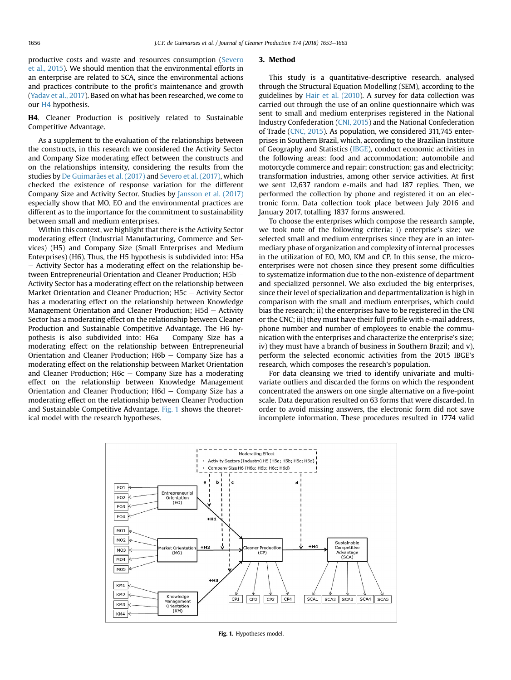<span id="page-3-0"></span>productive costs and waste and resources consumption ([Severo](#page-10-0) [et al., 2015\)](#page-10-0). We should mention that the environmental efforts in an enterprise are related to SCA, since the environmental actions and practices contribute to the profit's maintenance and growth ([Yadav et al., 2017\)](#page-10-0). Based on what has been researched, we come to our H4 hypothesis.

H4. Cleaner Production is positively related to Sustainable Competitive Advantage.

As a supplement to the evaluation of the relationships between the constructs, in this research we considered the Activity Sector and Company Size moderating effect between the constructs and on the relationships intensity, considering the results from the studies by [De Guimar](#page-9-0)ã[es et al. \(2017\)](#page-9-0) and [Severo et al. \(2017\),](#page-10-0) which checked the existence of response variation for the different Company Size and Activity Sector. Studies by [Jansson et al. \(2017\)](#page-9-0) especially show that MO, EO and the environmental practices are different as to the importance for the commitment to sustainability between small and medium enterprises.

Within this context, we highlight that there is the Activity Sector moderating effect (Industrial Manufacturing, Commerce and Services) (H5) and Company Size (Small Enterprises and Medium Enterprises) (H6). Thus, the H5 hypothesis is subdivided into: H5a - Activity Sector has a moderating effect on the relationship between Entrepreneurial Orientation and Cleaner Production;  $H5b -$ Activity Sector has a moderating effect on the relationship between Market Orientation and Cleaner Production;  $H5c -$  Activity Sector has a moderating effect on the relationship between Knowledge Management Orientation and Cleaner Production:  $H5d -$  Activity Sector has a moderating effect on the relationship between Cleaner Production and Sustainable Competitive Advantage. The H6 hypothesis is also subdivided into:  $H6a - Company$  Size has a moderating effect on the relationship between Entrepreneurial Orientation and Cleaner Production;  $H6b -$  Company Size has a moderating effect on the relationship between Market Orientation and Cleaner Production;  $H6c - Company Size$  has a moderating effect on the relationship between Knowledge Management Orientation and Cleaner Production;  $H6d - Company$  Size has a moderating effect on the relationship between Cleaner Production and Sustainable Competitive Advantage. Fig. 1 shows the theoretical model with the research hypotheses.

#### 3. Method

This study is a quantitative-descriptive research, analysed through the Structural Equation Modelling (SEM), according to the guidelines by [Hair et al. \(2010](#page-9-0)). A survey for data collection was carried out through the use of an online questionnaire which was sent to small and medium enterprises registered in the National Industry Confederation [\(CNI, 2015\)](#page-9-0) and the National Confederation of Trade ([CNC, 2015\)](#page-9-0). As population, we considered 311,745 enterprises in Southern Brazil, which, according to the Brazilian Institute of Geography and Statistics [\(IBGE](#page-9-0)), conduct economic activities in the following areas: food and accommodation; automobile and motorcycle commerce and repair; construction; gas and electricity; transformation industries, among other service activities. At first we sent 12,637 random e-mails and had 187 replies. Then, we performed the collection by phone and registered it on an electronic form. Data collection took place between July 2016 and January 2017, totalling 1837 forms answered.

To choose the enterprises which compose the research sample, we took note of the following criteria: i) enterprise's size: we selected small and medium enterprises since they are in an intermediary phase of organization and complexity of internal processes in the utilization of EO, MO, KM and CP. In this sense, the microenterprises were not chosen since they present some difficulties to systematize information due to the non-existence of department and specialized personnel. We also excluded the big enterprises, since their level of specialization and departmentalization is high in comparison with the small and medium enterprises, which could bias the research; ii) the enterprises have to be registered in the CNI or the CNC; iii) they must have their full profile with e-mail address, phone number and number of employees to enable the communication with the enterprises and characterize the enterprise's size; iv) they must have a branch of business in Southern Brazil; and v), perform the selected economic activities from the 2015 IBGE's research, which composes the research's population.

For data cleansing we tried to identify univariate and multivariate outliers and discarded the forms on which the respondent concentrated the answers on one single alternative on a five-point scale. Data depuration resulted on 63 forms that were discarded. In order to avoid missing answers, the electronic form did not save incomplete information. These procedures resulted in 1774 valid



Fig. 1. Hypotheses model.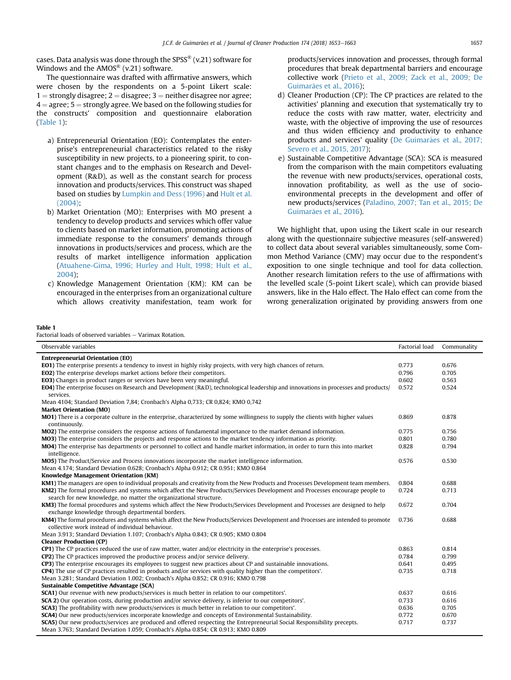<span id="page-4-0"></span>cases. Data analysis was done through the SPSS<sup>®</sup> (v.21) software for Windows and the  $AMOS^{\circledR}$  (v.21) software.

The questionnaire was drafted with affirmative answers, which were chosen by the respondents on a 5-point Likert scale:  $1 =$  strongly disagree;  $2 =$  disagree;  $3 =$  neither disagree nor agree;  $4 =$  agree;  $5 =$  strongly agree. We based on the following studies for the constructs' composition and questionnaire elaboration (Table 1):

- a) Entrepreneurial Orientation (EO): Contemplates the enterprise's entrepreneurial characteristics related to the risky susceptibility in new projects, to a pioneering spirit, to constant changes and to the emphasis on Research and Development (R&D), as well as the constant search for process innovation and products/services. This construct was shaped based on studies by [Lumpkin and Dess \(1996\)](#page-10-0) and [Hult et al.](#page-9-0) [\(2004\);](#page-9-0)
- b) Market Orientation (MO): Enterprises with MO present a tendency to develop products and services which offer value to clients based on market information, promoting actions of immediate response to the consumers' demands through innovations in products/services and process, which are the results of market intelligence information application [\(Atuahene-Gima, 1996; Hurley and Hult, 1998; Hult et al.,](#page-9-0) [2004\)](#page-9-0);
- c) Knowledge Management Orientation (KM): KM can be encouraged in the enterprises from an organizational culture which allows creativity manifestation, team work for

products/services innovation and processes, through formal procedures that break departmental barriers and encourage collective work [\(Prieto et al., 2009; Zack et al., 2009; De](#page-10-0) Guimarães et al., 2016):

- d) Cleaner Production (CP): The CP practices are related to the activities' planning and execution that systematically try to reduce the costs with raw matter, water, electricity and waste, with the objective of improving the use of resources and thus widen efficiency and productivity to enhance products and services' quality ([De Guimar](#page-9-0)ães et al., 2017; [Severo et al., 2015, 2017](#page-9-0));
- e) Sustainable Competitive Advantage (SCA): SCA is measured from the comparison with the main competitors evaluating the revenue with new products/services, operational costs, innovation profitability, as well as the use of socioenvironmental precepts in the development and offer of new products/services ([Paladino, 2007; Tan et al., 2015; De](#page-10-0) Guimarães et al., 2016).

We highlight that, upon using the Likert scale in our research along with the questionnaire subjective measures (self-answered) to collect data about several variables simultaneously, some Common Method Variance (CMV) may occur due to the respondent's exposition to one single technique and tool for data collection. Another research limitation refers to the use of affirmations with the levelled scale (5-point Likert scale), which can provide biased answers, like in the Halo effect. The Halo effect can come from the wrong generalization originated by providing answers from one

#### Table 1

Factorial loads of observed variables  $-$  Varimax Rotation.

| Observable variables                                                                                                                                                                | Factorial load | Communality |
|-------------------------------------------------------------------------------------------------------------------------------------------------------------------------------------|----------------|-------------|
| <b>Entrepreneurial Orientation (EO)</b>                                                                                                                                             |                |             |
| <b>EO1</b> ) The enterprise presents a tendency to invest in highly risky projects, with very high chances of return.                                                               | 0.773          | 0.676       |
| <b>EO2</b> ) The enterprise develops market actions before their competitors.                                                                                                       | 0.796          | 0.705       |
| EO3) Changes in product ranges or services have been very meaningful.                                                                                                               | 0.602          | 0.563       |
| <b>EO4)</b> The enterprise focuses on Research and Development ( $R&D$ ), technological leadership and innovations in processes and products/<br>services.                          | 0.572          | 0.524       |
| Mean 4104; Standard Deviation 7,84; Cronbach's Alpha 0,733; CR 0,824; KMO 0,742                                                                                                     |                |             |
| <b>Market Orientation (MO)</b>                                                                                                                                                      |                |             |
| MO1) There is a corporate culture in the enterprise, characterized by some willingness to supply the clients with higher values<br>continuously.                                    | 0.869          | 0.878       |
| MO2) The enterprise considers the response actions of fundamental importance to the market demand information.                                                                      | 0.775          | 0.756       |
| MO3) The enterprise considers the projects and response actions to the market tendency information as priority.                                                                     | 0.801          | 0.780       |
| MO4) The enterprise has departments or personnel to collect and handle market information, in order to turn this into market<br>intelligence.                                       | 0.828          | 0.794       |
| <b>MO5</b> ) The Product/Service and Process innovations incorporate the market intelligence information.                                                                           | 0.576          | 0.530       |
| Mean 4.174; Standard Deviation 0.628; Cronbach's Alpha 0.912; CR 0.951; KMO 0.864                                                                                                   |                |             |
| Knowledge Management Orientation (KM)                                                                                                                                               |                |             |
| KM1) The managers are open to individual proposals and creativity from the New Products and Processes Development team members.                                                     | 0.804          | 0.688       |
| KM2) The formal procedures and systems which affect the New Products/Services Development and Processes encourage people to                                                         | 0.724          | 0.713       |
| search for new knowledge, no matter the organizational structure.                                                                                                                   |                |             |
| KM3) The formal procedures and systems which affect the New Products/Services Development and Processes are designed to help                                                        | 0.672          | 0.704       |
| exchange knowledge through departmental borders.                                                                                                                                    |                |             |
| KM4) The formal procedures and systems which affect the New Products/Services Development and Processes are intended to promote<br>collective work instead of individual behaviour. | 0.736          | 0.688       |
| Mean 3.913; Standard Deviation 1.107; Cronbach's Alpha 0.843; CR 0.905; KMO 0.804                                                                                                   |                |             |
| <b>Cleaner Production (CP)</b>                                                                                                                                                      |                |             |
| CP1) The CP practices reduced the use of raw matter, water and/or electricity in the enterprise's processes.                                                                        | 0.863          | 0.814       |
| <b>CP2</b> ) The CP practices improved the productive process and/or service delivery.                                                                                              | 0.784          | 0.799       |
| CP3) The enterprise encourages its employees to suggest new practices about CP and sustainable innovations.                                                                         | 0.641          | 0.495       |
| <b>CP4</b> ) The use of CP practices resulted in products and/or services with quality higher than the competitors'.                                                                | 0.735          | 0.718       |
| Mean 3.281; Standard Deviation 1.002; Cronbach's Alpha 0.852; CR 0.916; KMO 0.798                                                                                                   |                |             |
| <b>Sustainable Competitive Advantage (SCA)</b>                                                                                                                                      |                |             |
| <b>SCA1)</b> Our revenue with new products/services is much better in relation to our competitors'.                                                                                 | 0.637          | 0.616       |
| <b>SCA 2)</b> Our operation costs, during production and/or service delivery, is inferior to our competitors'.                                                                      | 0.733          | 0.616       |
| <b>SCA3</b> ) The profitability with new products/services is much better in relation to our competitors'.                                                                          | 0.636          | 0.705       |
| <b>SCA4</b> ) Our new products/services incorporate knowledge and concepts of Environmental Sustainability.                                                                         | 0.772          | 0.670       |
| <b>SCA5</b> ) Our new products/services are produced and offered respecting the Entrepreneurial Social Responsibility precepts.                                                     | 0.717          | 0.737       |
| Mean 3.763; Standard Deviation 1.059; Cronbach's Alpha 0.854; CR 0.913; KMO 0.809                                                                                                   |                |             |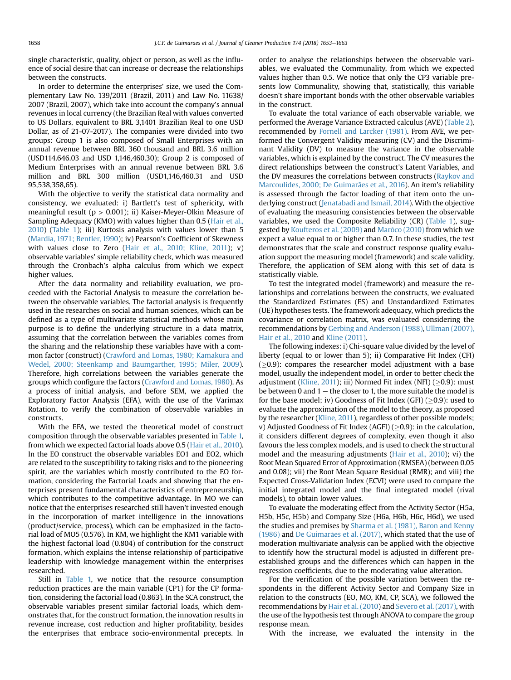single characteristic, quality, object or person, as well as the influence of social desire that can increase or decrease the relationships between the constructs.

In order to determine the enterprises' size, we used the Complementary Law No. 139/2011 (Brazil, 2011) and Law No. 11638/ 2007 (Brazil, 2007), which take into account the company's annual revenues in local currency (the Brazilian Real with values converted to US Dollars, equivalent to BRL 3,1401 Brazilian Real to one USD Dollar, as of 21-07-2017). The companies were divided into two groups: Group 1 is also composed of Small Enterprises with an annual revenue between BRL 360 thousand and BRL 3.6 million (USD114.646.03 and USD 1,146,460.30); Group 2 is composed of Medium Enterprises with an annual revenue between BRL 3.6 million and BRL 300 million (USD1,146,460.31 and USD 95,538,358,65).

With the objective to verify the statistical data normality and consistency, we evaluated: i) Bartlett's test of sphericity, with meaningful result ( $p > 0.001$ ); ii) Kaiser-Meyer-Olkin Measure of Sampling Adequacy (KMO) with values higher than 0.5 ([Hair et al.,](#page-9-0) [2010](#page-9-0)) [\(Table 1\)](#page-4-0); iii) Kurtosis analysis with values lower than 5 ([Mardia, 1971; Bentler, 1990\)](#page-10-0); iv) Pearson's Coefficient of Skewness with values close to Zero ([Hair et al., 2010; Kline, 2011](#page-9-0)); v) observable variables' simple reliability check, which was measured through the Cronbach's alpha calculus from which we expect higher values.

After the data normality and reliability evaluation, we proceeded with the Factorial Analysis to measure the correlation between the observable variables. The factorial analysis is frequently used in the researches on social and human sciences, which can be defined as a type of multivariate statistical methods whose main purpose is to define the underlying structure in a data matrix, assuming that the correlation between the variables comes from the sharing and the relationship these variables have with a common factor (construct) [\(Crawford and Lomas, 1980; Kamakura and](#page-9-0) [Wedel, 2000; Steenkamp and Baumgarther, 1995; Miler, 2009\)](#page-9-0). Therefore, high correlations between the variables generate the groups which configure the factors ([Crawford and Lomas, 1980\)](#page-9-0). As a process of initial analysis, and before SEM, we applied the Exploratory Factor Analysis (EFA), with the use of the Varimax Rotation, to verify the combination of observable variables in constructs.

With the EFA, we tested the theoretical model of construct composition through the observable variables presented in [Table 1,](#page-4-0) from which we expected factorial loads above 0.5 [\(Hair et al., 2010\)](#page-9-0). In the EO construct the observable variables EO1 and EO2, which are related to the susceptibility to taking risks and to the pioneering spirit, are the variables which mostly contributed to the EO formation, considering the Factorial Loads and showing that the enterprises present fundamental characteristics of entrepreneurship, which contributes to the competitive advantage. In MO we can notice that the enterprises researched still haven't invested enough in the incorporation of market intelligence in the innovations (product/service, process), which can be emphasized in the factorial load of MO5 (0.576). In KM, we highlight the KM1 variable with the highest factorial load (0.804) of contribution for the construct formation, which explains the intense relationship of participative leadership with knowledge management within the enterprises researched.

Still in [Table 1,](#page-4-0) we notice that the resource consumption reduction practices are the main variable (CP1) for the CP formation, considering the factorial load (0.863). In the SCA construct, the observable variables present similar factorial loads, which demonstrates that, for the construct formation, the innovation results in revenue increase, cost reduction and higher profitability, besides the enterprises that embrace socio-environmental precepts. In order to analyse the relationships between the observable variables, we evaluated the Communality, from which we expected values higher than 0.5. We notice that only the CP3 variable presents low Communality, showing that, statistically, this variable doesn't share important bonds with the other observable variables in the construct.

To evaluate the total variance of each observable variable, we performed the Average Variance Extracted calculus (AVE) [\(Table 2\)](#page-6-0), recommended by [Fornell and Larcker \(1981\).](#page-9-0) From AVE, we performed the Convergent Validity measuring (CV) and the Discriminant Validity (DV) to measure the variance in the observable variables, which is explained by the construct. The CV measures the direct relationships between the construct's Latent Variables, and the DV measures the correlations between constructs [\(Raykov and](#page-10-0) [Marcoulides, 2000; De Guimar](#page-10-0)ã[es et al., 2016](#page-10-0)). An item's reliability is assessed through the factor loading of that item onto the un-derlying construct ([Jenatabadi and Ismail, 2014](#page-9-0)). With the objective of evaluating the measuring consistencies between the observable variables, we used the Composite Reliability (CR) ([Table 1](#page-4-0)), sug-gested by [Koufteros et al. \(2009\)](#page-10-0) and Marôco (2010) from which we expect a value equal to or higher than 0.7. In these studies, the test demonstrates that the scale and construct response quality evaluation support the measuring model (framework) and scale validity. Therefore, the application of SEM along with this set of data is statistically viable.

To test the integrated model (framework) and measure the relationships and correlations between the constructs, we evaluated the Standardized Estimates (ES) and Unstandardized Estimates (UE) hypotheses tests. The framework adequacy, which predicts the covariance or correlation matrix, was evaluated considering the recommendations by [Gerbing and Anderson \(1988\),](#page-9-0) [Ullman \(2007\),](#page-10-0) [Hair et al., 2010](#page-10-0) and [Kline \(2011\)](#page-10-0).

The following indexes: i) Chi-square value divided by the level of liberty (equal to or lower than 5); ii) Comparative Fit Index (CFI)  $(\geq 0.9)$ : compares the researcher model adjustment with a base model, usually the independent model, in order to better check the adjustment ([Kline, 2011](#page-10-0)); iii) Normed Fit index (NFI) ( $\geq$ 0.9): must be between 0 and  $1$  – the closer to 1, the more suitable the model is for the base model; iv) Goodness of Fit Index (GFI) ( $\geq$ 0.9): used to evaluate the approximation of the model to the theory, as proposed by the researcher [\(Kline, 2011](#page-10-0)), regardless of other possible models; v) Adjusted Goodness of Fit Index (AGFI) ( $\geq$ 0.9): in the calculation, it considers different degrees of complexity, even though it also favours the less complex models, and is used to check the structural model and the measuring adjustments [\(Hair et al., 2010\)](#page-9-0); vi) the Root Mean Squared Error of Approximation (RMSEA) (between 0.05 and 0.08); vii) the Root Mean Square Residual (RMR); and viii) the Expected Cross-Validation Index (ECVI) were used to compare the initial integrated model and the final integrated model (rival models), to obtain lower values.

To evaluate the moderating effect from the Activity Sector (H5a, H5b, H5c, H5b) and Company Size (H6a, H6b, H6c, H6d), we used the studies and premises by [Sharma et al. \(1981\), Baron and Kenny](#page-10-0)  $(1986)$  and [De Guimar](#page-9-0)ães et al.  $(2017)$ , which stated that the use of moderation multivariate analysis can be applied with the objective to identify how the structural model is adjusted in different preestablished groups and the differences which can happen in the regression coefficients, due to the moderating value alteration.

For the verification of the possible variation between the respondents in the different Activity Sector and Company Size in relation to the constructs (EO, MO, KM, CP, SCA), we followed the recommendations by [Hair et al. \(2010](#page-9-0)) and [Severo et al. \(2017\),](#page-10-0) with the use of the hypothesis test through ANOVA to compare the group response mean.

With the increase, we evaluated the intensity in the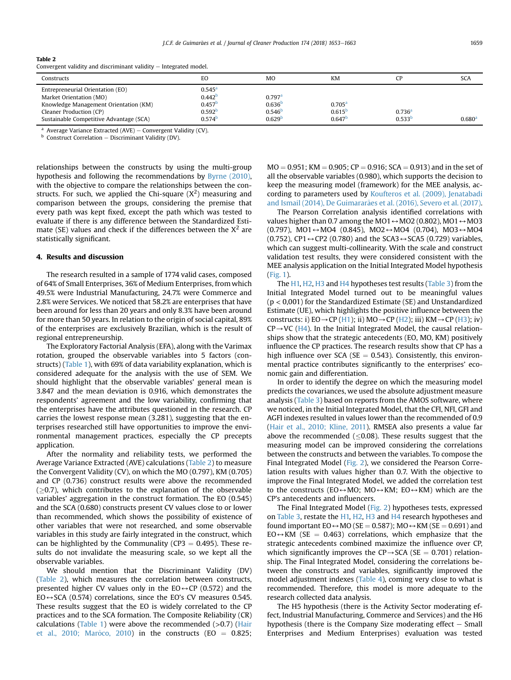### <span id="page-6-0"></span>Table 2

Convergent validity and discriminant validity  $-$  Integrated model.

| Constructs                                                                                                  | EO                                                            | MO                                         | <b>KM</b>                                                        |                                          | <b>SCA</b>         |
|-------------------------------------------------------------------------------------------------------------|---------------------------------------------------------------|--------------------------------------------|------------------------------------------------------------------|------------------------------------------|--------------------|
| Entrepreneurial Orientation (EO)<br>Market Orientation (MO)                                                 | $0.545^{\rm a}$<br>0.442 <sup>b</sup><br>$0.457$ <sup>t</sup> | $0.797$ <sup>a</sup><br>0.636 <sup>b</sup> |                                                                  |                                          |                    |
| Knowledge Management Orientation (KM)<br>Cleaner Production (CP)<br>Sustainable Competitive Advantage (SCA) | 0.592 <sup>b</sup><br>0.574 <sup>b</sup>                      | 0.546 <sup>b</sup><br>0.629 <sup>b</sup>   | 0.705 <sup>a</sup><br>$0.615$ <sup>t</sup><br>0.647 <sup>b</sup> | 0.736 <sup>a</sup><br>0.533 <sup>b</sup> | 0.680 <sup>3</sup> |

<sup>a</sup> Average Variance Extracted (AVE) – Convergent Validity (CV).

 $b$  Construct Correlation – Discriminant Validity (DV).

relationships between the constructs by using the multi-group hypothesis and following the recommendations by [Byrne \(2010\),](#page-9-0) with the objective to compare the relationships between the constructs. For such, we applied the Chi-square  $(X^2)$  measuring and comparison between the groups, considering the premise that every path was kept fixed, except the path which was tested to evaluate if there is any difference between the Standardized Estimate (SE) values and check if the differences between the  $X^2$  are statistically significant.

# 4. Results and discussion

The research resulted in a sample of 1774 valid cases, composed of 64% of Small Enterprises, 36% of Medium Enterprises, from which 49.5% were Industrial Manufacturing, 24.7% were Commerce and 2.8% were Services. We noticed that 58.2% are enterprises that have been around for less than 20 years and only 8.3% have been around for more than 50 years. In relation to the origin of social capital, 89% of the enterprises are exclusively Brazilian, which is the result of regional entrepreneurship.

The Exploratory Factorial Analysis (EFA), along with the Varimax rotation, grouped the observable variables into 5 factors (constructs) [\(Table 1\)](#page-4-0), with 69% of data variability explanation, which is considered adequate for the analysis with the use of SEM. We should highlight that the observable variables' general mean is 3.847 and the mean deviation is 0.916, which demonstrates the respondents' agreement and the low variability, confirming that the enterprises have the attributes questioned in the research. CP carries the lowest response mean (3.281), suggesting that the enterprises researched still have opportunities to improve the environmental management practices, especially the CP precepts application.

After the normality and reliability tests, we performed the Average Variance Extracted (AVE) calculations (Table 2) to measure the Convergent Validity (CV), on which the MO (0.797), KM (0.705) and CP (0.736) construct results were above the recommended  $(\geq 0.7)$ , which contributes to the explanation of the observable variables' aggregation in the construct formation. The EO (0.545) and the SCA (0.680) constructs present CV values close to or lower than recommended, which shows the possibility of existence of other variables that were not researched, and some observable variables in this study are fairly integrated in the construct, which can be highlighted by the Communality ( $CP3 = 0.495$ ). These results do not invalidate the measuring scale, so we kept all the observable variables.

We should mention that the Discriminant Validity (DV) (Table 2), which measures the correlation between constructs, presented higher CV values only in the  $EO \leftrightarrow CP$  (0.572) and the  $EO \leftrightarrow SCA$  (0.574) correlations, since the EO's CV measures 0.545. These results suggest that the EO is widely correlated to the CP practices and to the SCA formation. The Composite Reliability (CR) calculations [\(Table 1](#page-4-0)) were above the recommended  $(>0.7)$  [\(Hair](#page-9-0) [et al., 2010; Mar](#page-9-0)ô[co, 2010](#page-9-0)) in the constructs (EO  $= 0.825$ ;  $MO = 0.951$ ; KM  $= 0.905$ ; CP  $= 0.916$ ; SCA  $= 0.913$ ) and in the set of all the observable variables (0.980), which supports the decision to keep the measuring model (framework) for the MEE analysis, according to parameters used by [Koufteros et al. \(2009\), Jenatabadi](#page-10-0) and Ismail (2014), De Guimararães et al. (2016), Severo et al. (2017).

The Pearson Correlation analysis identified correlations with values higher than 0.7 among the MO1  $\leftrightarrow$  MO2 (0.802), MO1  $\leftrightarrow$  MO3  $(0.797)$ , MO1  $\leftrightarrow$  MO4  $(0.845)$ , MO2  $\leftrightarrow$  MO4  $(0.704)$ , MO3  $\leftrightarrow$  MO4 (0.752), CP1 $\leftrightarrow$ CP2 (0.780) and the SCA3 $\leftrightarrow$ SCA5 (0.729) variables, which can suggest multi-collinearity. With the scale and construct validation test results, they were considered consistent with the MEE analysis application on the Initial Integrated Model hypothesis ([Fig. 1](#page-3-0)).

The H1, H2, H3 and H4 hypotheses test results [\(Table 3](#page-7-0)) from the Initial Integrated Model turned out to be meaningful values (p < 0,001) for the Standardized Estimate (SE) and Unstandardized Estimate (UE), which highlights the positive influence between the constructs: i)  $EO \rightarrow CP (H1)$ ; ii)  $MO \rightarrow CP (H2)$ ; iii)  $KM \rightarrow CP (H3)$ ; iv)  $CP\rightarrow VC$  (H4). In the Initial Integrated Model, the causal relationships show that the strategic antecedents (EO, MO, KM) positively influence the CP practices. The research results show that CP has a high influence over SCA (SE  $= 0.543$ ). Consistently, this environmental practice contributes significantly to the enterprises' economic gain and differentiation.

In order to identify the degree on which the measuring model predicts the covariances, we used the absolute adjustment measure analysis [\(Table 3\)](#page-7-0) based on reports from the AMOS software, where we noticed, in the Initial Integrated Model, that the CFI, NFI, GFI and AGFI indexes resulted in values lower than the recommended of 0.9 ([Hair et al., 2010; Kline, 2011\)](#page-9-0). RMSEA also presents a value far above the recommended ( $\leq$ 0.08). These results suggest that the measuring model can be improved considering the correlations between the constructs and between the variables. To compose the Final Integrated Model [\(Fig. 2\)](#page-7-0), we considered the Pearson Correlation results with values higher than 0.7. With the objective to improve the Final Integrated Model, we added the correlation test to the constructs (EO $\leftrightarrow$ MO; MO $\leftrightarrow$ KM; EO $\leftrightarrow$ KM) which are the CP's antecedents and influencers.

The Final Integrated Model ([Fig. 2](#page-7-0)) hypotheses tests, expressed on [Table 3](#page-7-0), restate the H1, H2, H3 and H4 research hypotheses and found important  $EO \leftrightarrow MO$  (SE = 0.587); MO  $\leftrightarrow$  KM (SE = 0.691) and  $EO \leftrightarrow KM$  (SE = 0.463) correlations, which emphasize that the strategic antecedents combined maximize the influence over CP, which significantly improves the CP $\rightarrow$ SCA (SE = 0.701) relationship. The Final Integrated Model, considering the correlations between the constructs and variables, significantly improved the model adjustment indexes [\(Table 4\)](#page-7-0), coming very close to what is recommended. Therefore, this model is more adequate to the research collected data analysis.

The H5 hypothesis (there is the Activity Sector moderating effect, Industrial Manufacturing, Commerce and Services) and the H6 hypothesis (there is the Company Size moderating effect  $-$  Small Enterprises and Medium Enterprises) evaluation was tested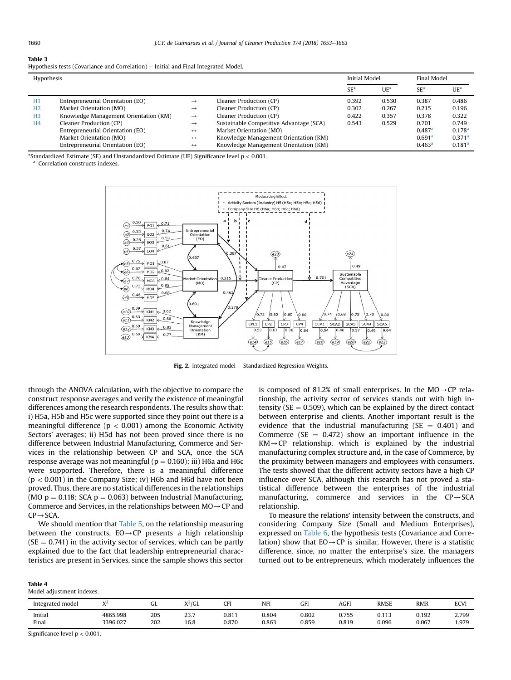<span id="page-7-0"></span>

| Table 3 |                                                                                       |  |  |
|---------|---------------------------------------------------------------------------------------|--|--|
|         | Hypothesis tests (Covariance and Correlation) $-$ Initial and Final Integrated Model. |  |  |

| Hypothesis     |                                       |                   |                                         | Initial Model |        | Final Model          |                    |
|----------------|---------------------------------------|-------------------|-----------------------------------------|---------------|--------|----------------------|--------------------|
|                |                                       |                   |                                         | $SE^*$        | $UE^*$ | $SE^*$               | $UE^*$             |
| H1             | Entrepreneurial Orientation (EO)      | $\rightarrow$     | Cleaner Production (CP)                 | 0.392         | 0.530  | 0.387                | 0.486              |
| H2             | Market Orientation (MO)               | $\rightarrow$     | Cleaner Production (CP)                 | 0.302         | 0.267  | 0.215                | 0.196              |
| H <sub>3</sub> | Knowledge Management Orientation (KM) | $\rightarrow$     | Cleaner Production (CP)                 | 0.422         | 0.357  | 0.378                | 0.322              |
| H <sub>4</sub> | Cleaner Production (CP)               | $\rightarrow$     | Sustainable Competitive Advantage (SCA) | 0.543         | 0.529  | 0.701                | 0.749              |
|                | Entrepreneurial Orientation (EO)      | $\leftrightarrow$ | Market Orientation (MO)                 |               |        | $0.487$ <sup>a</sup> | $0.178^{a}$        |
|                | Market Orientation (MO)               | $\leftrightarrow$ | Knowledge Management Orientation (KM)   |               |        | 0.691 <sup>a</sup>   | 0.371 <sup>a</sup> |
|                | Entrepreneurial Orientation (EO)      | $\leftrightarrow$ | Knowledge Management Orientation (KM)   |               |        | 0.463 <sup>a</sup>   | 0.181 <sup>a</sup> |

\*Standardized Estimate (SE) and Unstandardized Estimate (UE) Significance level  $p < 0.001$ .

<sup>a</sup> Correlation constructs indexes.



Fig. 2. Integrated model  $-$  Standardized Regression Weights.

through the ANOVA calculation, with the objective to compare the construct response averages and verify the existence of meaningful differences among the research respondents. The results show that: i) H5a, H5b and H5c were supported since they point out there is a meaningful difference ( $p < 0.001$ ) among the Economic Activity Sectors' averages; ii) H5d has not been proved since there is no difference between Industrial Manufacturing, Commerce and Services in the relationship between CP and SCA, once the SCA response average was not meaningful ( $p = 0.160$ ); iii) H6a and H6c were supported. Therefore, there is a meaningful difference  $(p < 0.001)$  in the Company Size; iv) H6b and H6d have not been proved. Thus, there are no statistical differences in the relationships (MO  $p = 0.118$ ; SCA  $p = 0.063$ ) between Industrial Manufacturing, Commerce and Services, in the relationships between  $MO \rightarrow CP$  and  $CP \rightarrow SCA$ .

We should mention that [Table 5,](#page-8-0) on the relationship measuring between the constructs,  $EO \rightarrow CP$  presents a high relationship  $(SE = 0.741)$  in the activity sector of services, which can be partly explained due to the fact that leadership entrepreneurial characteristics are present in Services, since the sample shows this sector is composed of 81.2% of small enterprises. In the  $MO \rightarrow CP$  relationship, the activity sector of services stands out with high intensity ( $SE = 0.509$ ), which can be explained by the direct contact between enterprise and clients. Another important result is the evidence that the industrial manufacturing ( $SE = 0.401$ ) and Commerce ( $SE = 0.472$ ) show an important influence in the  $KM \rightarrow CP$  relationship, which is explained by the industrial manufacturing complex structure and, in the case of Commerce, by the proximity between managers and employees with consumers. The tests showed that the different activity sectors have a high CP influence over SCA, although this research has not proved a statistical difference between the enterprises of the industrial manufacturing, commerce and services in the  $CP \rightarrow SCA$ relationship.

To measure the relations' intensity between the constructs, and considering Company Size (Small and Medium Enterprises), expressed on [Table 6,](#page-8-0) the hypothesis tests (Covariance and Correlation) show that  $EO \rightarrow CP$  is similar. However, there is a statistic difference, since, no matter the enterprise's size, the managers turned out to be entrepreneurs, which moderately influences the

| iable |  |
|-------|--|
|-------|--|

Model adjustment indexes.

| Integrated model |                      | uL         | $V^2$ ICI<br>7 U L | <b>CF</b>      | NFI            | GFI            | <b>AGFI</b>    | <b>RMSE</b>    | <b>RMR</b>     | <b>ECVI</b>    |
|------------------|----------------------|------------|--------------------|----------------|----------------|----------------|----------------|----------------|----------------|----------------|
| Initial<br>Final | 4865.998<br>3396.027 | 205<br>202 | nn,<br>۵۵.<br>16.8 | 0.811<br>0.870 | 0.804<br>0.863 | 0.802<br>0.859 | 0.755<br>0.819 | 0.113<br>0.096 | 0.192<br>0.067 | 2.799<br>1.979 |

Significance level p < 0.001.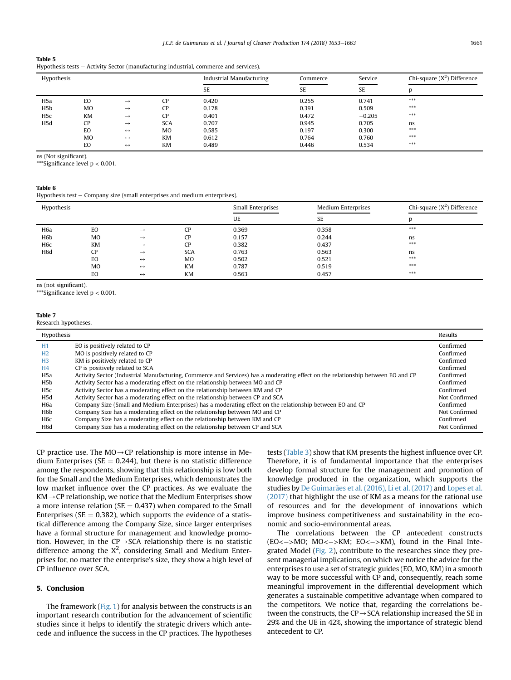# <span id="page-8-0"></span>Table 5

|  |  | Hypothesis tests - Activity Sector (manufacturing industrial, commerce and services). |  |  |
|--|--|---------------------------------------------------------------------------------------|--|--|
|--|--|---------------------------------------------------------------------------------------|--|--|

| Hypothesis       |                |                   |            | Industrial Manufacturing | Commerce  | Service   | Chi-square $(X^2)$ Difference |
|------------------|----------------|-------------------|------------|--------------------------|-----------|-----------|-------------------------------|
|                  |                |                   |            | <b>SE</b>                | <b>SE</b> | <b>SE</b> |                               |
| H <sub>5</sub> a | EO             | $\rightarrow$     | CP         | 0.420                    | 0.255     | 0.741     | $***$                         |
| H <sub>5</sub> b | M <sub>O</sub> | $\rightarrow$     | <b>CP</b>  | 0.178                    | 0.391     | 0.509     | $***$                         |
| H <sub>5</sub> c | <b>KM</b>      | $\rightarrow$     | <b>CP</b>  | 0.401                    | 0.472     | $-0.205$  | $***$                         |
| H5d              | CP             | $\rightarrow$     | <b>SCA</b> | 0.707                    | 0.945     | 0.705     | ns                            |
|                  | EO             | $\leftrightarrow$ | MO         | 0.585                    | 0.197     | 0.300     | $***$                         |
|                  | M <sub>O</sub> | $\leftrightarrow$ | <b>KM</b>  | 0.612                    | 0.764     | 0.760     | $***$                         |
|                  | EO             | $\leftrightarrow$ | <b>KM</b>  | 0.489                    | 0.446     | 0.534     | $***$                         |

ns (Not significant).

\*Significance level  $p < 0.001$ .

# Table 6

Hypothesis test  $-$  Company size (small enterprises and medium enterprises).

| Hypothesis       |           |                   |            | Small Enterprises | <b>Medium Enterprises</b> | Chi-square $(X^2)$ Difference |
|------------------|-----------|-------------------|------------|-------------------|---------------------------|-------------------------------|
|                  |           |                   |            | UE                | <b>SE</b>                 | D                             |
| H <sub>6</sub> a | EO        | $\rightarrow$     | <b>CP</b>  | 0.369             | 0.358                     | $***$                         |
| H <sub>6</sub> p | <b>MO</b> | $\rightarrow$     | CP         | 0.157             | 0.244                     | ns                            |
| H <sub>6</sub> c | KM        | $\rightarrow$     | CP         | 0.382             | 0.437                     | $***$                         |
| H <sub>6</sub> d | <b>CP</b> | $\rightarrow$     | <b>SCA</b> | 0.763             | 0.563                     | ns                            |
|                  | EO        | $\leftrightarrow$ | <b>MO</b>  | 0.502             | 0.521                     | $***$                         |
|                  | <b>MO</b> | $\leftrightarrow$ | <b>KM</b>  | 0.787             | 0.519                     | $***$                         |
|                  | EO        | $\leftrightarrow$ | <b>KM</b>  | 0.563             | 0.457                     | $***$                         |

ns (not significant).

\*\*\*Significance level p < 0.001.

Research hypotheses.

| Hypothesis       |                                                                                                                                 | Results       |
|------------------|---------------------------------------------------------------------------------------------------------------------------------|---------------|
| H1               | EO is positively related to CP                                                                                                  | Confirmed     |
| H <sub>2</sub>   | MO is positively related to CP                                                                                                  | Confirmed     |
| H <sub>3</sub>   | KM is positively related to CP                                                                                                  | Confirmed     |
| H <sub>4</sub>   | CP is positively related to SCA                                                                                                 | Confirmed     |
| H <sub>5</sub> a | Activity Sector (Industrial Manufacturing, Commerce and Services) has a moderating effect on the relationship between EO and CP | Confirmed     |
| H5b              | Activity Sector has a moderating effect on the relationship between MO and CP                                                   | Confirmed     |
| H5c              | Activity Sector has a moderating effect on the relationship between KM and CP                                                   | Confirmed     |
| H5d              | Activity Sector has a moderating effect on the relationship between CP and SCA                                                  | Not Confirmed |
| H6a              | Company Size (Small and Medium Enterprises) has a moderating effect on the relationship between EO and CP                       | Confirmed     |
| H6b              | Company Size has a moderating effect on the relationship between MO and CP                                                      | Not Confirmed |
| H6c              | Company Size has a moderating effect on the relationship between KM and CP                                                      | Confirmed     |
| H6d              | Company Size has a moderating effect on the relationship between CP and SCA                                                     | Not Confirmed |

CP practice use. The  $MO \rightarrow CP$  relationship is more intense in Medium Enterprises ( $SE = 0.244$ ), but there is no statistic difference among the respondents, showing that this relationship is low both for the Small and the Medium Enterprises, which demonstrates the low market influence over the CP practices. As we evaluate the  $KM \rightarrow CP$  relationship, we notice that the Medium Enterprises show a more intense relation ( $SE = 0.437$ ) when compared to the Small Enterprises ( $SE = 0.382$ ), which supports the evidence of a statistical difference among the Company Size, since larger enterprises have a formal structure for management and knowledge promotion. However, in the  $CP \rightarrow SCA$  relationship there is no statistic difference among the  $X^2$ , considering Small and Medium Enterprises for, no matter the enterprise's size, they show a high level of CP influence over SCA.

# 5. Conclusion

The framework [\(Fig. 1](#page-3-0)) for analysis between the constructs is an important research contribution for the advancement of scientific studies since it helps to identify the strategic drivers which antecede and influence the success in the CP practices. The hypotheses tests ([Table 3](#page-7-0)) show that KM presents the highest influence over CP. Therefore, it is of fundamental importance that the enterprises develop formal structure for the management and promotion of knowledge produced in the organization, which supports the studies by [De Guimar](#page-9-0)ães et al. (2016), Li et al. (2017) and [Lopes et al.](#page-10-0) [\(2017\)](#page-10-0) that highlight the use of KM as a means for the rational use of resources and for the development of innovations which improve business competitiveness and sustainability in the economic and socio-environmental areas.

The correlations between the CP antecedent constructs  $(EO < -$ >MO; MO $< -$ >KM; EO $< -$ >KM), found in the Final Integrated Model ([Fig. 2](#page-7-0)), contribute to the researches since they present managerial implications, on which we notice the advice for the enterprises to use a set of strategic guides (EO, MO, KM) in a smooth way to be more successful with CP and, consequently, reach some meaningful improvement in the differential development which generates a sustainable competitive advantage when compared to the competitors. We notice that, regarding the correlations between the constructs, the CP $\rightarrow$ SCA relationship increased the SE in 29% and the UE in 42%, showing the importance of strategic blend antecedent to CP.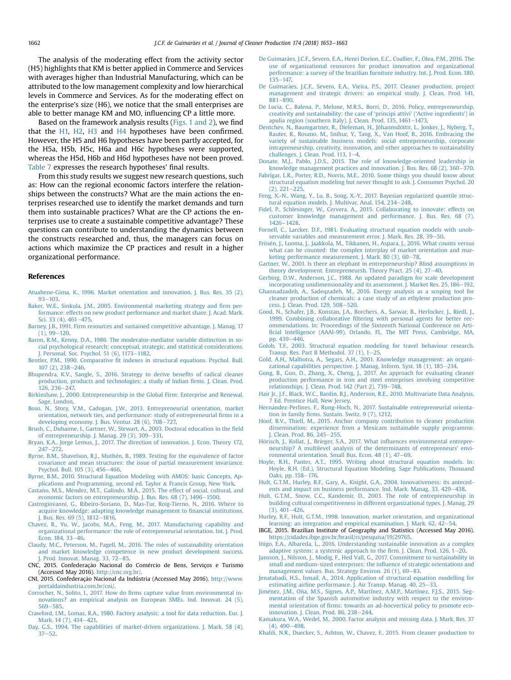<span id="page-9-0"></span>The analysis of the moderating effect from the activity sector (H5) highlights that KM is better applied in Commerce and Services with averages higher than Industrial Manufacturing, which can be attributed to the low management complexity and low hierarchical levels in Commerce and Services. As for the moderating effect on the enterprise's size (H6), we notice that the small enterprises are able to better manage KM and MO, influencing CP a little more.

Based on the framework analysis results ([Figs. 1 and 2](#page-3-0)), we find that the H1, H2, H3 and H4 hypotheses have been confirmed. However, the H5 and H6 hypotheses have been partly accepted, for the H5a, H5b, H5c, H6a and H6c hypotheses were supported, whereas the H5d, H6b and H6d hypotheses have not been proved. [Table 7](#page-8-0) expresses the research hypotheses' final results.

From this study results we suggest new research questions, such as: How can the regional economic factors interfere the relationships between the constructs? What are the main actions the enterprises researched use to identify the market demands and turn them into sustainable practices? What are the CP actions the enterprises use to create a sustainable competitive advantage? These questions can contribute to understanding the dynamics between the constructs researched and, thus, the managers can focus on actions which maximize the CP practices and result in a higher organizational performance.

## References

- [Atuahene-Gima, K., 1996. Market orientation and innovation. J. Bus. Res. 35 \(2\),](http://refhub.elsevier.com/S0959-6526(17)32734-8/sref1)  $93 - 103$  $93 - 103$  $93 - 103$ .
- [Baker, W.E., Sinkula, J.M., 2005. Environmental marketing strategy and](http://refhub.elsevier.com/S0959-6526(17)32734-8/sref2) firm per[formance: effects on new product performance and market share. J. Acad. Mark.](http://refhub.elsevier.com/S0959-6526(17)32734-8/sref2) [Sci. 33 \(4\), 461](http://refhub.elsevier.com/S0959-6526(17)32734-8/sref2)-[475.](http://refhub.elsevier.com/S0959-6526(17)32734-8/sref2)
- [Barney, J.B., 1991. Firm resources and sustained competitive advantage. J. Manag. 17](http://refhub.elsevier.com/S0959-6526(17)32734-8/sref3)  $(1), 99-120.$  $(1), 99-120.$  $(1), 99-120.$
- [Baron, R.M., Kenny, D.A., 1986. The moderator-mediator variable distinction in so](http://refhub.elsevier.com/S0959-6526(17)32734-8/sref4)[cial psychological research: conceptual, strategic, and statistical considerations.](http://refhub.elsevier.com/S0959-6526(17)32734-8/sref4) [J. Personal. Soc. Psychol. 51 \(6\), 1173](http://refhub.elsevier.com/S0959-6526(17)32734-8/sref4)-[1182](http://refhub.elsevier.com/S0959-6526(17)32734-8/sref4).
- Bentler, P.M., 1990. Comparative fi[t indexes in structural equations. Psychol. Bull.](http://refhub.elsevier.com/S0959-6526(17)32734-8/sref5) [107 \(2\), 238](http://refhub.elsevier.com/S0959-6526(17)32734-8/sref5)-[246.](http://refhub.elsevier.com/S0959-6526(17)32734-8/sref5)
- [Bhupendra, K.V., Sangle, S., 2016. Strategy to derive bene](http://refhub.elsevier.com/S0959-6526(17)32734-8/sref6)fits of radical cleaner [production, products and technologies: a study of Indian](http://refhub.elsevier.com/S0959-6526(17)32734-8/sref6) firms. J. Clean. Prod.  $126.236 - 247.$  $126.236 - 247.$
- [Birkinshaw, J., 2000. Entrepreneurship in the Global Firm: Enterprise and Renewal.](http://refhub.elsevier.com/S0959-6526(17)32734-8/sref7) [Sage, London.](http://refhub.elsevier.com/S0959-6526(17)32734-8/sref7)
- [Boso, N., Story, V.M., Cadogan, J.W., 2013. Entrepreneurial orientation, market](http://refhub.elsevier.com/S0959-6526(17)32734-8/sref8) [orientation, network ties, and performance: study of entrepreneurial](http://refhub.elsevier.com/S0959-6526(17)32734-8/sref8) firms in a developing economy. J. Bus. Ventur.  $28(6)$ ,  $708-727$ .
- [Brush, C., Duhaime, I., Gartner, W., Stewart, A., 2003. Doctoral education in the](http://refhub.elsevier.com/S0959-6526(17)32734-8/sref9) field
- [of entrepreneurship. J. Manag. 29 \(3\), 309](http://refhub.elsevier.com/S0959-6526(17)32734-8/sref9)–[331.](http://refhub.elsevier.com/S0959-6526(17)32734-8/sref9)<br>[Bryan, K.A., Jorge Lemus, J., 2017. The direction of innovation. J. Econ. Theory 172,](http://refhub.elsevier.com/S0959-6526(17)32734-8/sref201)  $247 - 272$  $247 - 272$ .
- Byrne, B.M., Shavelson, R.J., Muthén, B., 1989. Testing for the equivalence of factor [covariance and mean structures: the issue of partial measurement invariance.](http://refhub.elsevier.com/S0959-6526(17)32734-8/sref10) [Psychol. Bull. 105 \(3\), 456](http://refhub.elsevier.com/S0959-6526(17)32734-8/sref10)-[466.](http://refhub.elsevier.com/S0959-6526(17)32734-8/sref10)
- [Byrne, B.M., 2010. Structural Equation Modeling with AMOS: basic Concepts, Ap](http://refhub.elsevier.com/S0959-6526(17)32734-8/sref207)[plications and Programming, second ed. Taylor](http://refhub.elsevier.com/S0959-6526(17)32734-8/sref207) & [Francis Group, New York.](http://refhub.elsevier.com/S0959-6526(17)32734-8/sref207)
- Castaño, M.S., Méndez, M.T., Galindo, M.Á., 2015. The effect of social, cultural, and [economic factors on entrepreneurship. J. Bus. Res. 68 \(7\), 1496](http://refhub.elsevier.com/S0959-6526(17)32734-8/sref11)-[1500.](http://refhub.elsevier.com/S0959-6526(17)32734-8/sref11)
- [Castrogiovanni, G., Ribeiro-Soriano, D., Mas-Tur, Roig-Tierno, N., 2016. Where to](http://refhub.elsevier.com/S0959-6526(17)32734-8/sref12) [acquire knowledge: adapting knowledge management to](http://refhub.elsevier.com/S0959-6526(17)32734-8/sref12) financial institutions. [J. Bus. Res. 69 \(5\), 1812](http://refhub.elsevier.com/S0959-6526(17)32734-8/sref12)-[1816](http://refhub.elsevier.com/S0959-6526(17)32734-8/sref12).
- [Chavez, R., Yu, W., Jacobs, M.A., Feng, M., 2017. Manufacturing capability and](http://refhub.elsevier.com/S0959-6526(17)32734-8/sref13) [organizational performance: the role of entrepreneurial orientation. Int. J. Prod.](http://refhub.elsevier.com/S0959-6526(17)32734-8/sref13) Econ.  $184.33 - 46.$  $184.33 - 46.$  $184.33 - 46.$
- [Claudy, M.C., Peterson, M., Pagell, M., 2016. The roles of sustainability orientation](http://refhub.elsevier.com/S0959-6526(17)32734-8/sref14) [and market knowledge competence in new product development success.](http://refhub.elsevier.com/S0959-6526(17)32734-8/sref14) [J. Prod. Innovat. Manag. 33, 72](http://refhub.elsevier.com/S0959-6526(17)32734-8/sref14)–[85](http://refhub.elsevier.com/S0959-6526(17)32734-8/sref14).
- CNC, 2015. Confederação Nacional do Comércio de Bens, Serviços e Turismo (Accessed May 2016). <http://cnc.org.br/>.
- CNI, 2015. Confederação Nacional da Indústria (Accessed May 2016). [http://www.](http://www.portaldaindustria.com.br/cni/) [portaldaindustria.com.br/cni/](http://www.portaldaindustria.com.br/cni/).
- Corrocher, N., Solito, I., 2017. How do fi[rms capture value from environmental in](http://refhub.elsevier.com/S0959-6526(17)32734-8/sref17)[novations? an empirical analysis on European SMEs. Ind. Innovat. 24 \(5\),](http://refhub.elsevier.com/S0959-6526(17)32734-8/sref17) [569](http://refhub.elsevier.com/S0959-6526(17)32734-8/sref17)-[585.](http://refhub.elsevier.com/S0959-6526(17)32734-8/sref17)
- [Crawford, I.M., Lomas, R.A., 1980. Factory analysis: a tool for data reduction. Eur. J.](http://refhub.elsevier.com/S0959-6526(17)32734-8/sref18) [Mark. 14 \(7\), 414](http://refhub.elsevier.com/S0959-6526(17)32734-8/sref18)-[421.](http://refhub.elsevier.com/S0959-6526(17)32734-8/sref18)
- [Day, G.S., 1994. The capabilities of market-driven organizations. J. Mark. 58 \(4\),](http://refhub.elsevier.com/S0959-6526(17)32734-8/sref19)  $37 - 52$  $37 - 52$ .
- [De Guimar](http://refhub.elsevier.com/S0959-6526(17)32734-8/sref20)ã[es, J.C.F., Severo, E.A., Henri Dorion, E.C., Coallier, F., Olea, P.M., 2016. The](http://refhub.elsevier.com/S0959-6526(17)32734-8/sref20) [use of organizational resources for product innovation and organizational](http://refhub.elsevier.com/S0959-6526(17)32734-8/sref20) [performance: a survey of the brazilian furniture industry. Int. J. Prod. Econ. 180,](http://refhub.elsevier.com/S0959-6526(17)32734-8/sref20) [135](http://refhub.elsevier.com/S0959-6526(17)32734-8/sref20)-[147.](http://refhub.elsevier.com/S0959-6526(17)32734-8/sref20)
- De Guimarães, J.C.F., Severo, E.A., Vieira, P.S., 2017. Cleaner production, project [management and strategic drivers: an empirical study. J. Clean. Prod. 141,](http://refhub.elsevier.com/S0959-6526(17)32734-8/sref21)  $881 - 890$  $881 - 890$  $881 - 890$ .
- [De Lucia, C., Balena, P., Melone, M.R.S., Borri, D., 2016. Policy, entrepreneurship,](http://refhub.elsevier.com/S0959-6526(17)32734-8/sref22) [creativity and sustainability: the case of](http://refhub.elsevier.com/S0959-6526(17)32734-8/sref22) 'principi attivi' ('Active ingredients') in apulia region (southern Italy). J. Clean. Prod.  $135, 1461 - 1473$ .
- [Dentchev, N., Baumgartner, R., Dieleman, H., J](http://refhub.elsevier.com/S0959-6526(17)32734-8/sref23)ó[hannsd](http://refhub.elsevier.com/S0959-6526(17)32734-8/sref23)óttir, L., Jonker, J., Nyberg, T. [Rauter, R., Rosano, M., Snihur, Y., Tang, X., Van Hoof, B., 2016. Embracing the](http://refhub.elsevier.com/S0959-6526(17)32734-8/sref23) [variety of sustainable business models: social entrepreneurship, corporate](http://refhub.elsevier.com/S0959-6526(17)32734-8/sref23) [intrapreneurship, creativity, innovation, and other approaches to sustainability](http://refhub.elsevier.com/S0959-6526(17)32734-8/sref23) challenges. J. Clean. Prod.  $113$ ,  $1-4$  $1-4$ .
- [Donate, M.J., Pablo, J.D.S., 2015. The role of knowledge-oriented leadership in](http://refhub.elsevier.com/S0959-6526(17)32734-8/sref24) [knowledge management practices and innovation. J. Bus. Res. 68 \(2\), 360](http://refhub.elsevier.com/S0959-6526(17)32734-8/sref24)-[370](http://refhub.elsevier.com/S0959-6526(17)32734-8/sref24).
- [Fabrigar, L.R., Porter, R.D., Norris, M.E., 2010. Some things you should know about](http://refhub.elsevier.com/S0959-6526(17)32734-8/sref25) [structural equation modeling but never thought to ask. J. Consumer Psychol. 20](http://refhub.elsevier.com/S0959-6526(17)32734-8/sref25)  $(2), 221 - 225$  $(2), 221 - 225$  $(2), 221 - 225$
- [Feng, X.-N., Wang, Y., Lu, B., Song, X.-Y., 2017. Bayesian regularized quantile struc](http://refhub.elsevier.com/S0959-6526(17)32734-8/sref26)[tural equation models. J. Multivar. Anal. 154, 234](http://refhub.elsevier.com/S0959-6526(17)32734-8/sref26)-[248](http://refhub.elsevier.com/S0959-6526(17)32734-8/sref26).
- [Fidel, P., Schlesinger, W., Cervera, A., 2015. Collaborating to innovate: effects on](http://refhub.elsevier.com/S0959-6526(17)32734-8/sref27) [customer knowledge management and performance. J. Bus. Res. 68 \(7\),](http://refhub.elsevier.com/S0959-6526(17)32734-8/sref27) [1426](http://refhub.elsevier.com/S0959-6526(17)32734-8/sref27)-[1428](http://refhub.elsevier.com/S0959-6526(17)32734-8/sref27).
- [Fornell, C., Larcker, D.F., 1981. Evaluating structural equation models with unob](http://refhub.elsevier.com/S0959-6526(17)32734-8/sref28)[servable variables and measurement error. J. Mark. Res. 28, 39](http://refhub.elsevier.com/S0959-6526(17)32734-8/sref28)-[50.](http://refhub.elsevier.com/S0959-6526(17)32734-8/sref28)
- Frösé[n, J., Luoma, J., Jaakkola, M., Tikkanen, H., Aspara, J., 2016. What counts versus](http://refhub.elsevier.com/S0959-6526(17)32734-8/sref29) [what can be counted: the complex interplay of market orientation and mar](http://refhub.elsevier.com/S0959-6526(17)32734-8/sref29)[keting performance measurement. J. Mark. 80 \(3\), 60](http://refhub.elsevier.com/S0959-6526(17)32734-8/sref29)-[78.](http://refhub.elsevier.com/S0959-6526(17)32734-8/sref29)
- [Gartner, W., 2001. Is there an elephant in entrepreneurship? Blind assumptions in](http://refhub.elsevier.com/S0959-6526(17)32734-8/sref30) [theory development. Entrepreneursh. Theory Pract. 25 \(4\), 27](http://refhub.elsevier.com/S0959-6526(17)32734-8/sref30)-[40](http://refhub.elsevier.com/S0959-6526(17)32734-8/sref30).
- [Gerbing, D.W., Anderson, J.C., 1988. An updated paradigm for scale development](http://refhub.elsevier.com/S0959-6526(17)32734-8/sref206) [incorporating unidimensionality and its assessment. J. Market Res. 25, 186](http://refhub.elsevier.com/S0959-6526(17)32734-8/sref206)-[192](http://refhub.elsevier.com/S0959-6526(17)32734-8/sref206).
- [Ghannadzadeh, A., Sadeqzadeh, M., 2016. Exergy analysis as a scoping tool for](http://refhub.elsevier.com/S0959-6526(17)32734-8/sref31) [cleaner production of chemicals: a case study of an ethylene production pro](http://refhub.elsevier.com/S0959-6526(17)32734-8/sref31)[cess. J. Clean. Prod. 129, 508](http://refhub.elsevier.com/S0959-6526(17)32734-8/sref31)-[520.](http://refhub.elsevier.com/S0959-6526(17)32734-8/sref31)
- [Good, N., Schafer, J.B., Konstan, J.A., Borchers, A., Sarwar, B., Herlocker, J., Riedl, J.,](http://refhub.elsevier.com/S0959-6526(17)32734-8/sref204) 1999. Combining collaborative fi[ltering with personal agents for better rec](http://refhub.elsevier.com/S0959-6526(17)32734-8/sref204)[ommendations. In: Proceedings of the Sixteenth National Conference on Arti](http://refhub.elsevier.com/S0959-6526(17)32734-8/sref204)fi[cial Intelligence \(AAAI-99\), Orlando, FL. The MIT Press, Cambridge, MA,](http://refhub.elsevier.com/S0959-6526(17)32734-8/sref204) [pp. 439](http://refhub.elsevier.com/S0959-6526(17)32734-8/sref204)-[446](http://refhub.elsevier.com/S0959-6526(17)32734-8/sref204)
- [Golob, T.F., 2003. Structural equation modeling for travel behaviour research.](http://refhub.elsevier.com/S0959-6526(17)32734-8/sref32) Transp. Res. Part B Methodol. 37  $(1)$ , 1-[25.](http://refhub.elsevier.com/S0959-6526(17)32734-8/sref32)
- [Gold, A.H., Malhotra, A., Segars, A.H., 2001. Knowledge management: an organi](http://refhub.elsevier.com/S0959-6526(17)32734-8/sref205)[zational capabilities perspective. J. Manag. Inform. Syst. 18 \(1\), 185](http://refhub.elsevier.com/S0959-6526(17)32734-8/sref205)-[214](http://refhub.elsevier.com/S0959-6526(17)32734-8/sref205).
- [Gong, B., Guo, D., Zhang, X., Cheng, J., 2017. An approach for evaluating cleaner](http://refhub.elsevier.com/S0959-6526(17)32734-8/sref33) [production performance in iron and steel enterprises involving competitive](http://refhub.elsevier.com/S0959-6526(17)32734-8/sref33) [relationships. J. Clean. Prod. 142 \(Part 2\), 739](http://refhub.elsevier.com/S0959-6526(17)32734-8/sref33)-[748](http://refhub.elsevier.com/S0959-6526(17)32734-8/sref33).
- [Hair Jr., J.F., Black, W.C., Bardin, B.J., Anderson, R.E., 2010. Multivariate Data Analysis,](http://refhub.elsevier.com/S0959-6526(17)32734-8/sref34) [7 Ed. Prentice Hall, New Jersey.](http://refhub.elsevier.com/S0959-6526(17)32734-8/sref34)
- Hernández-Perlines, F., Rung-Hoch, N., 2017. Sustainable entrepreneurial orientation in family fi[rms. Sustain. Switz. 9 \(7\),](http://refhub.elsevier.com/S0959-6526(17)32734-8/sref35) 1212.
- [Hoof, B.V., Thiell, M., 2015. Anchor company contribution to cleaner production](http://refhub.elsevier.com/S0959-6526(17)32734-8/sref36) [dissemination: experience from a Mexicam sustainable supply programme.](http://refhub.elsevier.com/S0959-6526(17)32734-8/sref36) [J. Clean. Prod. 86, 245](http://refhub.elsevier.com/S0959-6526(17)32734-8/sref36)–[255.](http://refhub.elsevier.com/S0959-6526(17)32734-8/sref36)
- Hörisch, J., Kollat, J., Brieger, S.A., 2017. What influences environmental entrepre[neurship? A multilevel analysis of the determinants of entrepreneurs' envi](http://refhub.elsevier.com/S0959-6526(17)32734-8/sref37)[ronmental orientation. Small Bus. Econ. 48 \(1\), 47](http://refhub.elsevier.com/S0959-6526(17)32734-8/sref37)-[69.](http://refhub.elsevier.com/S0959-6526(17)32734-8/sref37)
- [Hoyle, R.H., Panter, A.T., 1995. Writing about structural equation models. In:](http://refhub.elsevier.com/S0959-6526(17)32734-8/sref38) [Hoyle, R.H. \(Ed.\), Structural Equation Modeling. Sage Publications, Thousand](http://refhub.elsevier.com/S0959-6526(17)32734-8/sref38) [Oaks, pp. 158](http://refhub.elsevier.com/S0959-6526(17)32734-8/sref38)-[176.](http://refhub.elsevier.com/S0959-6526(17)32734-8/sref38)
- [Hult, G.T.M., Hurley, R.F., Gary, A., Knight, G.A., 2004. Innovativeness: its anteced](http://refhub.elsevier.com/S0959-6526(17)32734-8/sref39)[ents and impact on business performance. Ind. Mark. Manag. 33, 429](http://refhub.elsevier.com/S0959-6526(17)32734-8/sref39)-[438](http://refhub.elsevier.com/S0959-6526(17)32734-8/sref39).
- [Hult, G.T.M., Snow, C.C., Kandemir, D., 2003. The role of entrepreneurship in](http://refhub.elsevier.com/S0959-6526(17)32734-8/sref40) [building cultural competitiveness in different organizational types. J. Manag. 29](http://refhub.elsevier.com/S0959-6526(17)32734-8/sref40)  $(3), 401-426.$  $(3), 401-426.$  $(3), 401-426.$  $(3), 401-426.$
- [Hurley, R.F., Hult, G.T.M., 1998. Innovation, market orientation, and organizational](http://refhub.elsevier.com/S0959-6526(17)32734-8/sref41) [learning: an integration and empirical examination. J. Mark. 62, 42](http://refhub.elsevier.com/S0959-6526(17)32734-8/sref41)-[54](http://refhub.elsevier.com/S0959-6526(17)32734-8/sref41).
- IBGE, 2015. Brazilian Institute of Geography and Statistics (Accessed May 2016). [https://cidades.ibge.gov.br/brasil/rs/pesquisa/19/29765.](https://cidades.ibge.gov.br/brasil/rs/pesquisa/19/29765)
- Iñigo, E.A., Albareda, L., 2016. Understanding sustainable innovation as a complex [adaptive system: a systemic approach to the](http://refhub.elsevier.com/S0959-6526(17)32734-8/sref203) firm. J. Clean. Prod.  $126$ ,  $1-20$ .
- [Jansson, J., Nilsson, J., Modig, F., Hed Vall, G., 2017. Commitment to sustainability in](http://refhub.elsevier.com/S0959-6526(17)32734-8/sref43) [small and medium-sized enterprises: the in](http://refhub.elsevier.com/S0959-6526(17)32734-8/sref43)fluence of strategic orientations and [management values. Bus. Strategy Environ. 26 \(1\), 69](http://refhub.elsevier.com/S0959-6526(17)32734-8/sref43)-[83.](http://refhub.elsevier.com/S0959-6526(17)32734-8/sref43)
- [Jenatabadi, H.S., Ismail, A., 2014. Application of structural equation modelling for](http://refhub.elsevier.com/S0959-6526(17)32734-8/sref44) [estimating airline performance. J. Air Transp. Manag. 40, 25](http://refhub.elsevier.com/S0959-6526(17)32734-8/sref44)-[33.](http://refhub.elsevier.com/S0959-6526(17)32734-8/sref44)
- Jiménez, J.M., Oñ[a, M.S., Signes,](http://refhub.elsevier.com/S0959-6526(17)32734-8/sref45) Á.P., Martínez, A.M.P., Martínez, F.J.S., 2015. Seg[mentation of the Spanish automotive industry with respect to the environ](http://refhub.elsevier.com/S0959-6526(17)32734-8/sref45)mental orientation of fi[rms: towards an ad-hocvertical policy to promote eco](http://refhub.elsevier.com/S0959-6526(17)32734-8/sref45)[innovation. J. Clean. Prod. 86, 238](http://refhub.elsevier.com/S0959-6526(17)32734-8/sref45)-[244](http://refhub.elsevier.com/S0959-6526(17)32734-8/sref45).
- [Kamakura, W.A., Wedel, M., 2000. Factor analysis and missing data. J. Mark. Res. 37](http://refhub.elsevier.com/S0959-6526(17)32734-8/sref46)  $(4)$ , 490 $-498$  $-498$ .
- [Khalili, N.R., Duecker, S., Ashton, W., Chavez, F., 2015. From cleaner production to](http://refhub.elsevier.com/S0959-6526(17)32734-8/sref47)